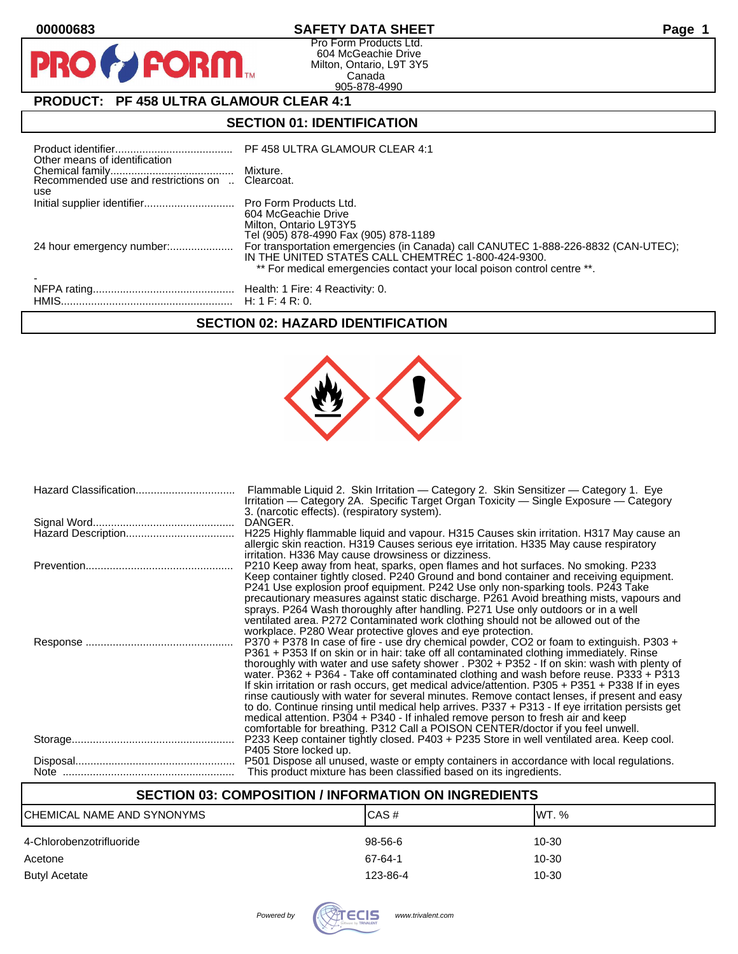$\mathbf O$ 

PR

## **00000683 SAFETY DATA SHEET Page 1**

Pro Form Products Ltd. 604 McGeachie Drive Milton, Ontario, L9T 3Y5 Canada 905-878-4990

# **PRODUCT: PF 458 ULTRA GLAMOUR CLEAR 4:1**

**FORM** 

## **SECTION 01: IDENTIFICATION**

| Other means of identification |                                                                                                                                                                                                                     |
|-------------------------------|---------------------------------------------------------------------------------------------------------------------------------------------------------------------------------------------------------------------|
| use                           |                                                                                                                                                                                                                     |
|                               | 604 McGeachie Drive<br>Milton, Ontario L9T3Y5<br>Tel (905) 878-4990 Fax (905) 878-1189                                                                                                                              |
| 24 hour emergency number:     | For transportation emergencies (in Canada) call CANUTEC 1-888-226-8832 (CAN-UTEC);<br>IN THE UNITED STATES CALL CHEMTREC 1-800-424-9300.<br>** For medical emergencies contact your local poison control centre **. |
|                               |                                                                                                                                                                                                                     |

### **SECTION 02: HAZARD IDENTIFICATION**



| Flammable Liquid 2. Skin Irritation — Category 2. Skin Sensitizer — Category 1. Eye<br>Irritation — Category 2A. Specific Target Organ Toxicity — Single Exposure — Category<br>3. (narcotic effects). (respiratory system).             |
|------------------------------------------------------------------------------------------------------------------------------------------------------------------------------------------------------------------------------------------|
| DANGER.                                                                                                                                                                                                                                  |
| H225 Highly flammable liquid and vapour. H315 Causes skin irritation. H317 May cause an<br>allergic skin reaction. H319 Causes serious eye irritation. H335 May cause respiratory<br>irritation. H336 May cause drowsiness or dizziness. |
| P210 Keep away from heat, sparks, open flames and hot surfaces. No smoking. P233                                                                                                                                                         |
| Keep container tightly closed. P240 Ground and bond container and receiving equipment.<br>P241 Use explosion proof equipment. P242 Use only non-sparking tools. P243 Take                                                                |
| precautionary measures against static discharge. P261 Avoid breathing mists, vapours and                                                                                                                                                 |
| sprays. P264 Wash thoroughly after handling. P271 Use only outdoors or in a well                                                                                                                                                         |
| ventilated area. P272 Contaminated work clothing should not be allowed out of the                                                                                                                                                        |
| workplace. P280 Wear protective gloves and eye protection.                                                                                                                                                                               |
| P370 + P378 In case of fire - use dry chemical powder, CO2 or foam to extinguish. P303 +<br>P361 + P353 If on skin or in hair: take off all contaminated clothing immediately. Rinse                                                     |
| thoroughly with water and use safety shower . P302 + P352 - If on skin: wash with plenty of<br>water. P362 + P364 - Take off contaminated clothing and wash before reuse. P333 + P313                                                    |
| If skin irritation or rash occurs, get medical advice/attention. P305 + P351 + P338 If in eyes                                                                                                                                           |
| rinse cautiously with water for several minutes. Remove contact lenses, if present and easy                                                                                                                                              |
| to do. Continue rinsing until medical help arrives. P337 + P313 - If eye irritation persists get                                                                                                                                         |
| medical attention. P304 + P340 - If inhaled remove person to fresh air and keep                                                                                                                                                          |
| comfortable for breathing. P312 Call a POISON CENTER/doctor if you feel unwell.                                                                                                                                                          |
| P233 Keep container tightly closed. P403 + P235 Store in well ventilated area. Keep cool.                                                                                                                                                |
| P405 Store locked up.                                                                                                                                                                                                                    |
| P501 Dispose all unused, waste or empty containers in accordance with local regulations.<br>This product mixture has been classified based on its ingredients.                                                                           |

## **SECTION 03: COMPOSITION / INFORMATION ON INGREDIENTS**

| ICHEMICAL NAME AND SYNONYMS | CAS#     | IWT. % |
|-----------------------------|----------|--------|
| 4-Chlorobenzotrifluoride    | 98-56-6  | 10-30  |
| Acetone                     | 67-64-1  | 10-30  |
| Butyl Acetate               | 123-86-4 | 10-30  |

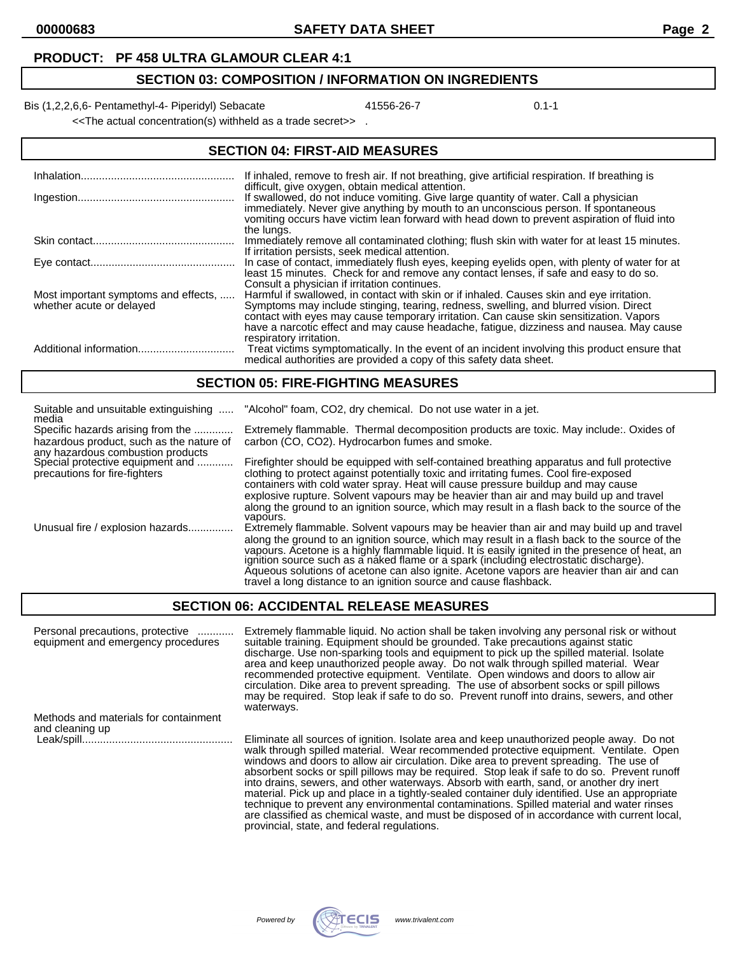#### **PRODUCT: PF 458 ULTRA GLAMOUR CLEAR 4:1**

## **SECTION 03: COMPOSITION / INFORMATION ON INGREDIENTS**

Bis (1,2,2,6,6- Pentamethyl-4- Piperidyl) Sebacate 41556-26-7 41556-26-7 0.1-1

<<The actual concentration(s) withheld as a trade secret>> .

| <b>SECTION 04: FIRST-AID MEASURES</b>                            |                                                                                                                                                                                                                                                                                                                                                                                                    |  |
|------------------------------------------------------------------|----------------------------------------------------------------------------------------------------------------------------------------------------------------------------------------------------------------------------------------------------------------------------------------------------------------------------------------------------------------------------------------------------|--|
|                                                                  | If inhaled, remove to fresh air. If not breathing, give artificial respiration. If breathing is                                                                                                                                                                                                                                                                                                    |  |
|                                                                  | difficult, give oxygen, obtain medical attention.<br>If swallowed, do not induce vomiting. Give large quantity of water. Call a physician<br>immediately. Never give anything by mouth to an unconscious person. If spontaneous<br>vomiting occurs have victim lean forward with head down to prevent aspiration of fluid into<br>the lungs.                                                       |  |
|                                                                  | Immediately remove all contaminated clothing; flush skin with water for at least 15 minutes.<br>If irritation persists, seek medical attention.                                                                                                                                                                                                                                                    |  |
|                                                                  | In case of contact, immediately flush eyes, keeping eyelids open, with plenty of water for at<br>least 15 minutes. Check for and remove any contact lenses, if safe and easy to do so.<br>Consult a physician if irritation continues.                                                                                                                                                             |  |
| Most important symptoms and effects,<br>whether acute or delayed | Harmful if swallowed, in contact with skin or if inhaled. Causes skin and eye irritation.<br>Symptoms may include stinging, tearing, redness, swelling, and blurred vision. Direct<br>contact with eyes may cause temporary irritation. Can cause skin sensitization. Vapors<br>have a narcotic effect and may cause headache, fatigue, dizziness and nausea. May cause<br>respiratory irritation. |  |
|                                                                  | Treat victims symptomatically. In the event of an incident involving this product ensure that<br>medical authorities are provided a copy of this safety data sheet.                                                                                                                                                                                                                                |  |

#### **SECTION 05: FIRE-FIGHTING MEASURES**

| Suitable and unsuitable extinguishing                                                                  | "Alcohol" foam, CO2, dry chemical. Do not use water in a jet.                                                                                                                                                                                                                                                                                                                                                                                                                                                                                                       |
|--------------------------------------------------------------------------------------------------------|---------------------------------------------------------------------------------------------------------------------------------------------------------------------------------------------------------------------------------------------------------------------------------------------------------------------------------------------------------------------------------------------------------------------------------------------------------------------------------------------------------------------------------------------------------------------|
| media<br>Specific hazards arising from the<br>hazardous product, such as the nature of                 | Extremely flammable. Thermal decomposition products are toxic. May include: Oxides of<br>carbon (CO, CO2). Hydrocarbon fumes and smoke.                                                                                                                                                                                                                                                                                                                                                                                                                             |
| any hazardous combustion products<br>Special protective equipment and<br>precautions for fire-fighters | Firefighter should be equipped with self-contained breathing apparatus and full protective<br>clothing to protect against potentially toxic and irritating fumes. Cool fire-exposed<br>containers with cold water spray. Heat will cause pressure buildup and may cause<br>explosive rupture. Solvent vapours may be heavier than air and may build up and travel<br>along the ground to an ignition source, which may result in a flash back to the source of the                                                                                                  |
| Unusual fire / explosion hazards                                                                       | vapours.<br>Extremely flammable. Solvent vapours may be heavier than air and may build up and travel<br>along the ground to an ignition source, which may result in a flash back to the source of the<br>vapours. Acetone is a highly flammable liquid. It is easily ignited in the presence of heat, an<br>ignition source such as a naked flame or a spark (including electrostatic discharge).<br>Aqueous solutions of acetone can also ignite. Acetone vapors are heavier than air and can<br>travel a long distance to an ignition source and cause flashback. |

### **SECTION 06: ACCIDENTAL RELEASE MEASURES**

| Personal precautions, protective<br>equipment and emergency procedures | Extremely flammable liquid. No action shall be taken involving any personal risk or without<br>suitable training. Equipment should be grounded. Take precautions against static<br>discharge. Use non-sparking tools and equipment to pick up the spilled material. Isolate<br>area and keep unauthorized people away. Do not walk through spilled material. Wear<br>recommended protective equipment. Ventilate. Open windows and doors to allow air<br>circulation. Dike area to prevent spreading. The use of absorbent socks or spill pillows<br>may be required. Stop leak if safe to do so. Prevent runoff into drains, sewers, and other<br>waterways.                                                                                                       |
|------------------------------------------------------------------------|---------------------------------------------------------------------------------------------------------------------------------------------------------------------------------------------------------------------------------------------------------------------------------------------------------------------------------------------------------------------------------------------------------------------------------------------------------------------------------------------------------------------------------------------------------------------------------------------------------------------------------------------------------------------------------------------------------------------------------------------------------------------|
| Methods and materials for containment                                  |                                                                                                                                                                                                                                                                                                                                                                                                                                                                                                                                                                                                                                                                                                                                                                     |
| and cleaning up                                                        |                                                                                                                                                                                                                                                                                                                                                                                                                                                                                                                                                                                                                                                                                                                                                                     |
|                                                                        | Eliminate all sources of ignition. Isolate area and keep unauthorized people away. Do not<br>walk through spilled material. Wear recommended protective equipment. Ventilate. Open<br>windows and doors to allow air circulation. Dike area to prevent spreading. The use of<br>absorbent socks or spill pillows may be required. Stop leak if safe to do so. Prevent runoff<br>into drains, sewers, and other waterways. Absorb with earth, sand, or another dry inert<br>material. Pick up and place in a tightly-sealed container duly identified. Use an appropriate<br>technique to prevent any environmental contaminations. Spilled material and water rinses<br>are classified as chemical waste, and must be disposed of in accordance with current local, |



provincial, state, and federal regulations.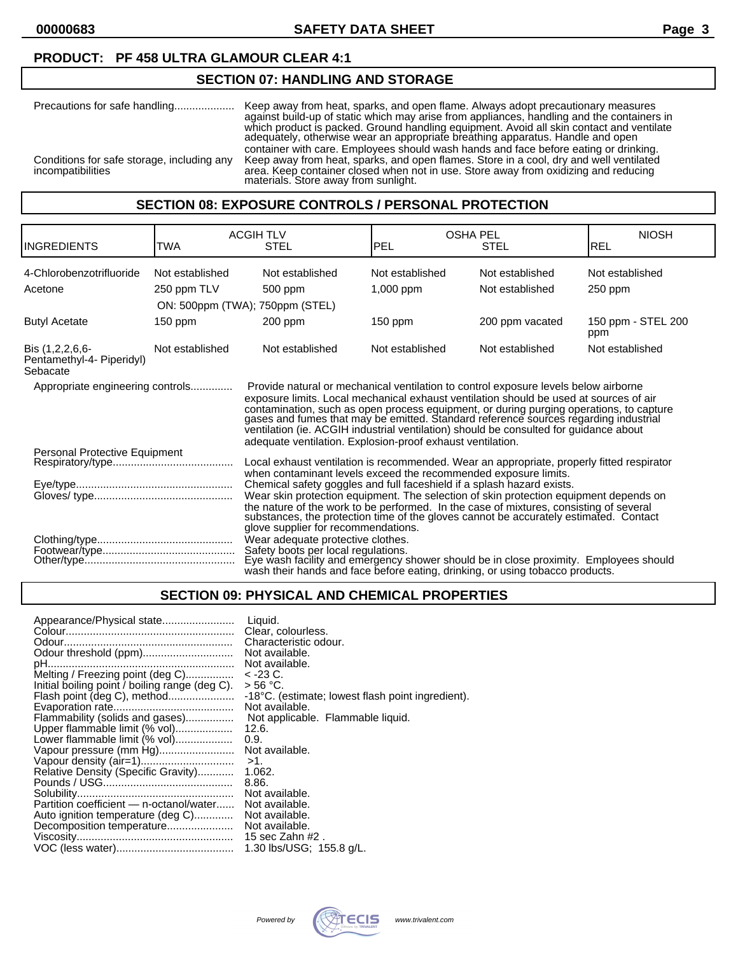#### **PRODUCT: PF 458 ULTRA GLAMOUR CLEAR 4:1**

### **SECTION 07: HANDLING AND STORAGE**

| Precautions for safe handling                                   | Keep away from heat, sparks, and open flame. Always adopt precautionary measures<br>against build-up of static which may arise from appliances, handling and the containers in<br>which product is packed. Ground handling equipment. Avoid all skin contact and ventilate<br>adequately, otherwise wear an appropriate breathing apparatus. Handle and open |
|-----------------------------------------------------------------|--------------------------------------------------------------------------------------------------------------------------------------------------------------------------------------------------------------------------------------------------------------------------------------------------------------------------------------------------------------|
| Conditions for safe storage, including any<br>incompatibilities | container with care. Employees should wash hands and face before eating or drinking.<br>Keep away from heat, sparks, and open flames. Store in a cool, dry and well ventilated<br>area. Keep container closed when not in use. Store away from oxidizing and reducing<br>materials. Store away from sunlight.                                                |

#### **SECTION 08: EXPOSURE CONTROLS / PERSONAL PROTECTION**

|                                                                                                                                                                                                                                                                                                                                                                                                                                                                                                                                                             |                 | <b>ACGIH TLV</b>                                                                                                                                                                                                                                                                                                                                                                          |                 | <b>OSHA PEL</b> | <b>NIOSH</b>              |
|-------------------------------------------------------------------------------------------------------------------------------------------------------------------------------------------------------------------------------------------------------------------------------------------------------------------------------------------------------------------------------------------------------------------------------------------------------------------------------------------------------------------------------------------------------------|-----------------|-------------------------------------------------------------------------------------------------------------------------------------------------------------------------------------------------------------------------------------------------------------------------------------------------------------------------------------------------------------------------------------------|-----------------|-----------------|---------------------------|
| <b>INGREDIENTS</b>                                                                                                                                                                                                                                                                                                                                                                                                                                                                                                                                          | TWA             | <b>STEL</b>                                                                                                                                                                                                                                                                                                                                                                               | PEL             | <b>STEL</b>     | <b>REL</b>                |
| 4-Chlorobenzotrifluoride                                                                                                                                                                                                                                                                                                                                                                                                                                                                                                                                    | Not established | Not established                                                                                                                                                                                                                                                                                                                                                                           | Not established | Not established | Not established           |
| Acetone                                                                                                                                                                                                                                                                                                                                                                                                                                                                                                                                                     | 250 ppm TLV     | 500 ppm                                                                                                                                                                                                                                                                                                                                                                                   | $1,000$ ppm     | Not established | $250$ ppm                 |
|                                                                                                                                                                                                                                                                                                                                                                                                                                                                                                                                                             |                 | ON: 500ppm (TWA); 750ppm (STEL)                                                                                                                                                                                                                                                                                                                                                           |                 |                 |                           |
| <b>Butyl Acetate</b>                                                                                                                                                                                                                                                                                                                                                                                                                                                                                                                                        | $150$ ppm       | $200$ ppm                                                                                                                                                                                                                                                                                                                                                                                 | 150 ppm         | 200 ppm vacated | 150 ppm - STEL 200<br>ppm |
| Bis (1,2,2,6,6-<br>Pentamethyl-4- Piperidyl)<br>Sebacate                                                                                                                                                                                                                                                                                                                                                                                                                                                                                                    | Not established | Not established                                                                                                                                                                                                                                                                                                                                                                           | Not established | Not established | Not established           |
| Appropriate engineering controls<br>Provide natural or mechanical ventilation to control exposure levels below airborne<br>exposure limits. Local mechanical exhaust ventilation should be used at sources of air<br>contamination, such as open process equipment, or during purging operations, to capture<br>gases and fumes that may be emitted. Standard reference sources regarding industrial<br>ventilation (ie. ACGIH industrial ventilation) should be consulted for guidance about<br>adequate ventilation. Explosion-proof exhaust ventilation. |                 |                                                                                                                                                                                                                                                                                                                                                                                           |                 |                 |                           |
| Personal Protective Equipment<br>Local exhaust ventilation is recommended. Wear an appropriate, properly fitted respirator<br>when contaminant levels exceed the recommended exposure limits.                                                                                                                                                                                                                                                                                                                                                               |                 |                                                                                                                                                                                                                                                                                                                                                                                           |                 |                 |                           |
|                                                                                                                                                                                                                                                                                                                                                                                                                                                                                                                                                             |                 | Chemical safety goggles and full faceshield if a splash hazard exists.<br>Wear skin protection equipment. The selection of skin protection equipment depends on<br>the nature of the work to be performed. In the case of mixtures, consisting of several<br>substances, the protection time of the gloves cannot be accurately estimated. Contact<br>glove supplier for recommendations. |                 |                 |                           |
|                                                                                                                                                                                                                                                                                                                                                                                                                                                                                                                                                             |                 | Wear adequate protective clothes.<br>Safety boots per local regulations.<br>Eye wash facility and emergency shower should be in close proximity. Employees should<br>wash their hands and face before eating, drinking, or using tobacco products.                                                                                                                                        |                 |                 |                           |

#### **SECTION 09: PHYSICAL AND CHEMICAL PROPERTIES**

| Appearance/Physical state                      | Liquid.                                           |
|------------------------------------------------|---------------------------------------------------|
|                                                | Clear, colourless.                                |
|                                                | Characteristic odour.                             |
| Odour threshold (ppm)                          | Not available.                                    |
|                                                | Not available.                                    |
| Melting / Freezing point (deg C)               | $<$ -23 C.                                        |
| Initial boiling point / boiling range (deg C). | > 56 °C.                                          |
| Flash point (deg C), method                    | -18°C. (estimate; lowest flash point ingredient). |
|                                                | Not available.                                    |
| Flammability (solids and gases)                | Not applicable. Flammable liquid.                 |
| Upper flammable limit (% vol)                  | 12.6.                                             |
| Lower flammable limit (% vol)                  | 0.9.                                              |
| Vapour pressure (mm Hg)                        | Not available.                                    |
|                                                | $>1$ .                                            |
| Relative Density (Specific Gravity)            | 1.062.                                            |
|                                                | 8.86.                                             |
|                                                | Not available.                                    |
| Partition coefficient - n-octanol/water        | Not available.                                    |
| Auto ignition temperature (deg C)              | Not available.                                    |
|                                                | Not available.                                    |
|                                                | 15 sec Zahn #2.                                   |
|                                                | 1.30 lbs/USG; 155.8 g/L.                          |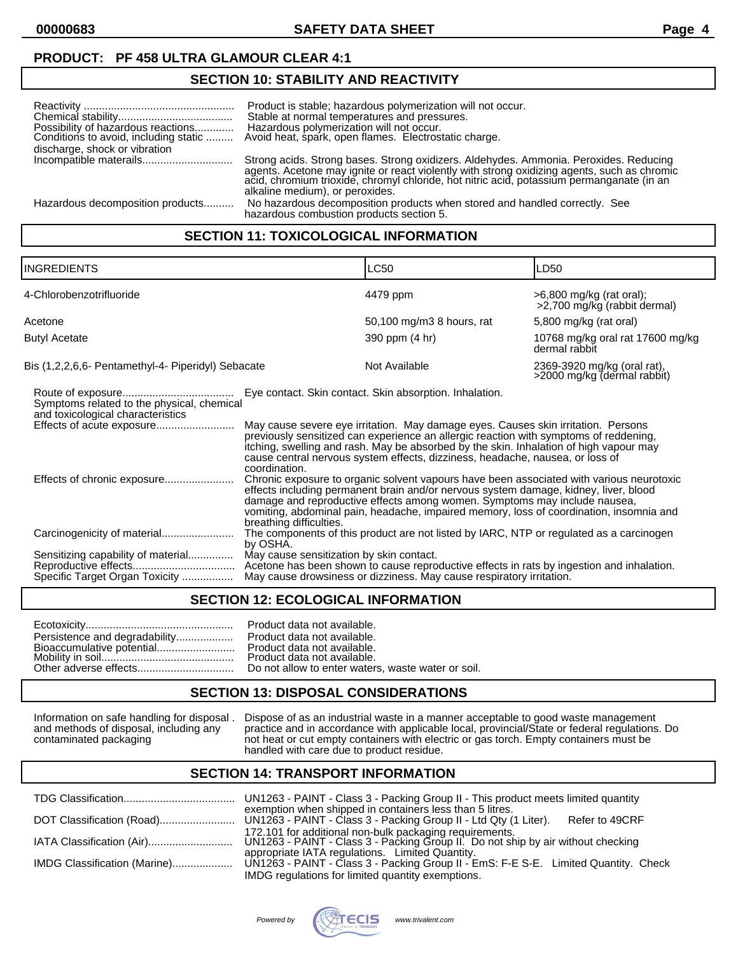## **PRODUCT: PF 458 ULTRA GLAMOUR CLEAR 4:1**

### **SECTION 10: STABILITY AND REACTIVITY**

| discharge, shock or vibration    | Product is stable; hazardous polymerization will not occur.<br>Stable at normal temperatures and pressures.<br>Possibility of hazardous reactions Hazardous polymerization will not occur.<br>Conditions to avoid, including static  Avoid heat, spark, open flames. Electrostatic charge. |
|----------------------------------|--------------------------------------------------------------------------------------------------------------------------------------------------------------------------------------------------------------------------------------------------------------------------------------------|
|                                  | Strong acids. Strong bases. Strong oxidizers. Aldehydes. Ammonia. Peroxides. Reducing                                                                                                                                                                                                      |
|                                  | agents. Acetone may ignite or react violently with strong oxidizing agents, such as chromic<br>acid, chromium trioxide, chromyl chloride, hot nitric acid, potassium permanganate (in an<br>alkaline medium), or peroxides.                                                                |
| Hazardous decomposition products | No hazardous decomposition products when stored and handled correctly. See<br>hazardous combustion products section 5.                                                                                                                                                                     |

## **SECTION 11: TOXICOLOGICAL INFORMATION**

| <b>INGREDIENTS</b>                                                                                             |                                                                                                                                                                                                                                                                                                                                                                                                                                                                                                                         | LC50                                                                                                                                                                                                                                                                                                                                                                                                                                                                                                                                                                                                 | LD50                                                       |
|----------------------------------------------------------------------------------------------------------------|-------------------------------------------------------------------------------------------------------------------------------------------------------------------------------------------------------------------------------------------------------------------------------------------------------------------------------------------------------------------------------------------------------------------------------------------------------------------------------------------------------------------------|------------------------------------------------------------------------------------------------------------------------------------------------------------------------------------------------------------------------------------------------------------------------------------------------------------------------------------------------------------------------------------------------------------------------------------------------------------------------------------------------------------------------------------------------------------------------------------------------------|------------------------------------------------------------|
| 4-Chlorobenzotrifluoride                                                                                       |                                                                                                                                                                                                                                                                                                                                                                                                                                                                                                                         | 4479 ppm                                                                                                                                                                                                                                                                                                                                                                                                                                                                                                                                                                                             | $>6,800$ mg/kg (rat oral);<br>>2,700 mg/kg (rabbit dermal) |
| Acetone                                                                                                        |                                                                                                                                                                                                                                                                                                                                                                                                                                                                                                                         | 50,100 mg/m3 8 hours, rat                                                                                                                                                                                                                                                                                                                                                                                                                                                                                                                                                                            | 5,800 mg/kg (rat oral)                                     |
| <b>Butyl Acetate</b>                                                                                           |                                                                                                                                                                                                                                                                                                                                                                                                                                                                                                                         | 390 ppm (4 hr)                                                                                                                                                                                                                                                                                                                                                                                                                                                                                                                                                                                       | 10768 mg/kg oral rat 17600 mg/kg<br>dermal rabbit          |
| Bis (1,2,2,6,6- Pentamethyl-4- Piperidyl) Sebacate                                                             |                                                                                                                                                                                                                                                                                                                                                                                                                                                                                                                         | Not Available                                                                                                                                                                                                                                                                                                                                                                                                                                                                                                                                                                                        | 2369-3920 mg/kg (oral rat),<br>>2000 mg/kg (dermal rabbit) |
| Symptoms related to the physical, chemical<br>and toxicological characteristics<br>Effects of chronic exposure | coordination.                                                                                                                                                                                                                                                                                                                                                                                                                                                                                                           | Eye contact. Skin contact. Skin absorption. Inhalation.<br>May cause severe eye irritation. May damage eyes. Causes skin irritation. Persons<br>previously sensitized can experience an allergic reaction with symptoms of reddening,<br>itching, swelling and rash. May be absorbed by the skin. Inhalation of high vapour may<br>cause central nervous system effects, dizziness, headache, nausea, or loss of<br>Chronic exposure to organic solvent vapours have been associated with various neurotoxic<br>effects including permanent brain and/or nervous system damage, kidney, liver, blood |                                                            |
| Carcinogenicity of material<br>Sensitizing capability of material<br>Specific Target Organ Toxicity            | damage and reproductive effects among women. Symptoms may include nausea,<br>vomiting, abdominal pain, headache, impaired memory, loss of coordination, insomnia and<br>breathing difficulties.<br>The components of this product are not listed by IARC, NTP or regulated as a carcinogen<br>by OSHA.<br>May cause sensitization by skin contact.<br>Acetone has been shown to cause reproductive effects in rats by ingestion and inhalation.<br>May cause drowsiness or dizziness. May cause respiratory irritation. |                                                                                                                                                                                                                                                                                                                                                                                                                                                                                                                                                                                                      |                                                            |

### **SECTION 12: ECOLOGICAL INFORMATION**

|                               | Product data not available.  |
|-------------------------------|------------------------------|
| Persistence and degradability | Product data not available.  |
|                               | Product data not available.  |
|                               | Product data not available.  |
|                               | Do not allow to enter waters |

| Persistence and degradability Product data not available. |
|-----------------------------------------------------------|
| Bioaccumulative potential Product data not available.     |
|                                                           |
|                                                           |
|                                                           |

## **SECTION 13: DISPOSAL CONSIDERATIONS**

Information on safe handling for disposal . Dispose of as an industrial waste in a manner acceptable to good waste management and methods of disposal, including any practice and in accordance with applicable local, provincial/State or federal regulations. Do contaminated packaging not heat or cut empty containers with electric or gas torch. Empty containers must be handled with care due to product residue.

### **SECTION 14: TRANSPORT INFORMATION**

|                              | UN1263 - PAINT - Class 3 - Packing Group II - This product meets limited quantity                                                           |
|------------------------------|---------------------------------------------------------------------------------------------------------------------------------------------|
|                              | exemption when shipped in containers less than 5 litres.<br>Refer to 49CRF                                                                  |
|                              | 172.101 for additional non-bulk packaging requirements.<br>UN1263 - PAINT - Class 3 - Packing Group II. Do not ship by air without checking |
|                              | appropriate IATA regulations. Limited Quantity.                                                                                             |
| IMDG Classification (Marine) | UN1263 - PAINT - Class 3 - Packing Group II - EmS: F-E S-E. Limited Quantity. Check                                                         |
|                              | IMDG regulations for limited quantity exemptions.                                                                                           |